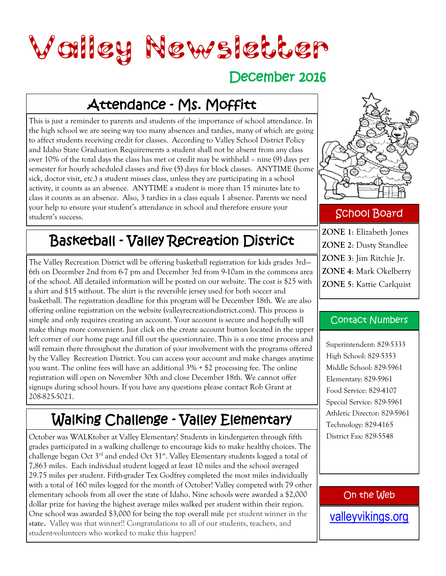

#### December 2016

### Attendance - Ms. Moffitt

This is just a reminder to parents and students of the importance of school attendance. In the high school we are seeing way too many absences and tardies, many of which are going to affect students receiving credit for classes. According to Valley School District Policy and Idaho State Graduation Requirements a student shall not be absent from any class over 10% of the total days the class has met or credit may be withheld – nine (9) days per semester for hourly scheduled classes and five (5) days for block classes. ANYTIME (home sick, doctor visit, etc.) a student misses class, unless they are participating in a school activity, it counts as an absence. ANYTIME a student is more than 15 minutes late to class it counts as an absence. Also, 3 tardies in a class equals 1 absence. Parents we need your help to ensure your student's attendance in school and therefore ensure your student's success.

#### Basketball - Valley Recreation District

The Valley Recreation District will be offering basketball registration for kids grades 3rd— 6th on December 2nd from 6-7 pm and December 3rd from 9-10am in the commons area of the school. All detailed information will be posted on our website. The cost is \$25 with a shirt and \$15 without. The shirt is the reversible jersey used for both soccer and basketball. The registration deadline for this program will be December 18th. We are also offering online registration on the website (valleyrecreationdistrict.com). This process is simple and only requires creating an account. Your account is secure and hopefully will make things more convenient. Just click on the create account button located in the upper left corner of our home page and fill out the questionnaire. This is a one time process and will remain there throughout the duration of your involvement with the programs offered by the Valley Recreation District. You can access your account and make changes anytime you want. The online fees will have an additional 3% + \$2 processing fee. The online registration will open on November 30th and close December 18th. We cannot offer signups during school hours. If you have any questions please contact Rob Grant at 208-825-5021.

## Walking Challenge - Valley Elementary

October was WALKtober at Valley Elementary! Students in kindergarten through fifth grades participated in a walking challenge to encourage kids to make healthy choices. The challenge began Oct  $3^{rd}$  and ended Oct  $31^{st}$ . Valley Elementary students logged a total of 7,863 miles. Each individual student logged at least 10 miles and the school averaged 29.75 miles per student. Fifth-grader Tex Godfrey completed the most miles individually with a total of 160 miles logged for the month of October! Valley competed with 79 other elementary schools from all over the state of Idaho. Nine schools were awarded a \$2,000 dollar prize for having the highest average miles walked per student within their region. One school was awarded \$3,000 for being the top overall mile per student winner in the **state.** Valley was that winner!! Congratulations to all of our students, teachers, and student-volunteers who worked to make this happen!



#### School Board

**ZONE 1**: Elizabeth Jones **ZONE 2**: Dusty Standlee **ZONE 3**: Jim Ritchie Jr. **ZONE 4**: Mark Okelberry **ZONE 5**: Kattie Carlquist

#### Contact Numbers

Superintendent: 829-5333 High School: 829-5353 Middle School: 829-5961 Elementary: 829-5961 Food Service: 829-4107 Special Service: 829-5961 Athletic Director: 829-5961 Technology: 829-4165 District Fax: 829-5548

#### On the Web

[valleyvikings.org](http://www.valleyvikings.org/)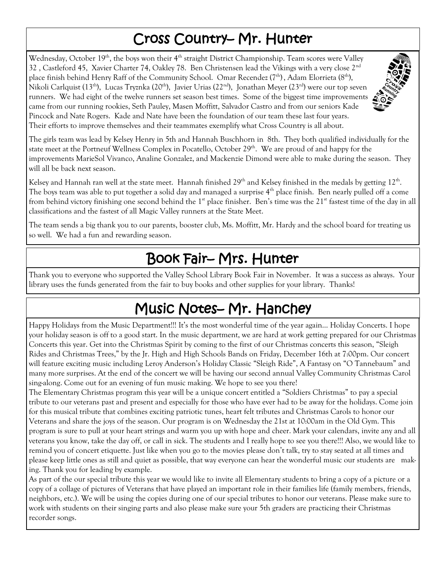#### Cross Country– Mr. Hunter

Wednesday, October 19<sup>th</sup>, the boys won their  $4<sup>th</sup>$  straight District Championship. Team scores were Valley 32, Castleford 45, Xavier Charter 74, Oakley 78. Ben Christensen lead the Vikings with a very close  $2^{nd}$ place finish behind Henry Raff of the Community School. Omar Recendez ( $7<sup>th</sup>$ ), Adam Elorrieta ( $8<sup>th</sup>$ ), Nikoli Carlquist (13<sup>th</sup>), Lucas Tryznka (20<sup>th</sup>), Javier Urias (22<sup>nd</sup>), Jonathan Meyer (23<sup>rd</sup>) were our top seven runners. We had eight of the twelve runners set season best times. Some of the biggest time improvements came from our running rookies, Seth Pauley, Masen Moffitt, Salvador Castro and from our seniors Kade Pincock and Nate Rogers. Kade and Nate have been the foundation of our team these last four years. Their efforts to improve themselves and their teammates exemplify what Cross Country is all about.



The girls team was lead by Kelsey Henry in 5th and Hannah Buschhorn in 8th. They both qualified individually for the state meet at the Portneuf Wellness Complex in Pocatello, October  $29<sup>th</sup>$ . We are proud of and happy for the improvements MarieSol Vivanco, Analine Gonzalez, and Mackenzie Dimond were able to make during the season. They will all be back next season.

Kelsey and Hannah ran well at the state meet. Hannah finished  $29<sup>th</sup>$  and Kelsey finished in the medals by getting  $12<sup>th</sup>$ . The boys team was able to put together a solid day and managed a surprise  $4<sup>th</sup>$  place finish. Ben nearly pulled off a come from behind victory finishing one second behind the  $1<sup>st</sup>$  place finisher. Ben's time was the  $21<sup>st</sup>$  fastest time of the day in all classifications and the fastest of all Magic Valley runners at the State Meet.

The team sends a big thank you to our parents, booster club, Ms. Moffitt, Mr. Hardy and the school board for treating us so well. We had a fun and rewarding season.

#### Book Fair– Mrs. Hunter

Thank you to everyone who supported the Valley School Library Book Fair in November. It was a success as always. Your library uses the funds generated from the fair to buy books and other supplies for your library. Thanks!

## Music Notes– Mr. Hanchey

Happy Holidays from the Music Department!!! It's the most wonderful time of the year again… Holiday Concerts. I hope your holiday season is off to a good start. In the music department, we are hard at work getting prepared for our Christmas Concerts this year. Get into the Christmas Spirit by coming to the first of our Christmas concerts this season, "Sleigh Rides and Christmas Trees," by the Jr. High and High Schools Bands on Friday, December 16th at 7:00pm. Our concert will feature exciting music including Leroy Anderson's Holiday Classic "Sleigh Ride", A Fantasy on "O Tannebaum" and many more surprises. At the end of the concert we will be having our second annual Valley Community Christmas Carol sing-along. Come out for an evening of fun music making. We hope to see you there!

The Elementary Christmas program this year will be a unique concert entitled a "Soldiers Christmas" to pay a special tribute to our veterans past and present and especially for those who have ever had to be away for the holidays. Come join for this musical tribute that combines exciting patriotic tunes, heart felt tributes and Christmas Carols to honor our Veterans and share the joys of the season. Our program is on Wednesday the 21st at 10:00am in the Old Gym. This program is sure to pull at your heart strings and warm you up with hope and cheer. Mark your calendars, invite any and all veterans you know, take the day off, or call in sick. The students and I really hope to see you there!!! Also, we would like to remind you of concert etiquette. Just like when you go to the movies please don't talk, try to stay seated at all times and please keep little ones as still and quiet as possible, that way everyone can hear the wonderful music our students are making. Thank you for leading by example.

As part of the our special tribute this year we would like to invite all Elementary students to bring a copy of a picture or a copy of a collage of pictures of Veterans that have played an important role in their families life (family members, friends, neighbors, etc.). We will be using the copies during one of our special tributes to honor our veterans. Please make sure to work with students on their singing parts and also please make sure your 5th graders are practicing their Christmas recorder songs.